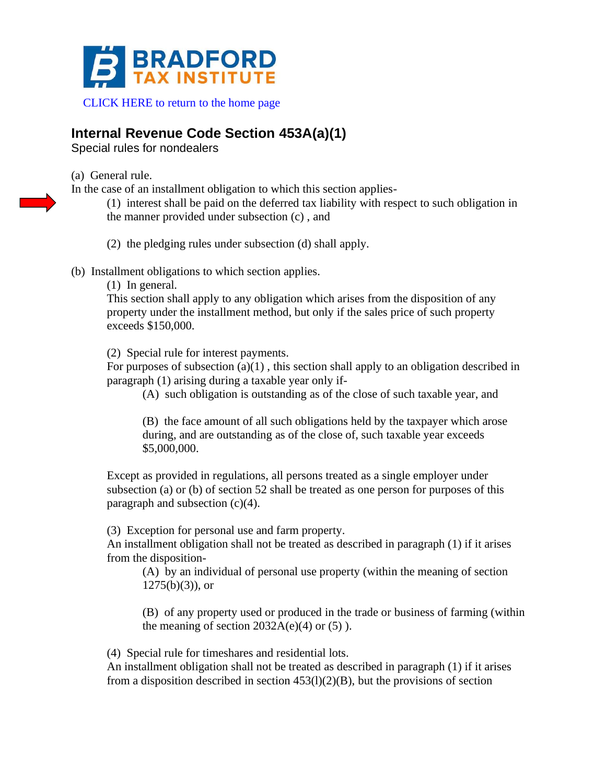

[CLICK HERE to return to the home page](https://www.bradfordtaxinstitute.com)

## **Internal Revenue Code Section 453A(a)(1)**

Special rules for nondealers

(a) General rule.

In the case of an installment obligation to which this section applies-

(1) interest shall be paid on the deferred tax liability with respect to such obligation in the manner provided under subsection (c) , and

(2) the pledging rules under subsection (d) shall apply.

(b) Installment obligations to which section applies.

(1) In general.

This section shall apply to any obligation which arises from the disposition of any property under the installment method, but only if the sales price of such property exceeds \$150,000.

(2) Special rule for interest payments.

For purposes of subsection  $(a)(1)$ , this section shall apply to an obligation described in paragraph (1) arising during a taxable year only if-

(A) such obligation is outstanding as of the close of such taxable year, and

(B) the face amount of all such obligations held by the taxpayer which arose during, and are outstanding as of the close of, such taxable year exceeds \$5,000,000.

Except as provided in regulations, all persons treated as a single employer under subsection (a) or (b) of section 52 shall be treated as one person for purposes of this paragraph and subsection (c)(4).

(3) Exception for personal use and farm property.

An installment obligation shall not be treated as described in paragraph (1) if it arises from the disposition-

(A) by an individual of personal use property (within the meaning of section  $1275(b)(3)$ , or

(B) of any property used or produced in the trade or business of farming (within the meaning of section  $2032A(e)(4)$  or  $(5)$ ).

(4) Special rule for timeshares and residential lots.

An installment obligation shall not be treated as described in paragraph (1) if it arises from a disposition described in section  $453(1)(2)(B)$ , but the provisions of section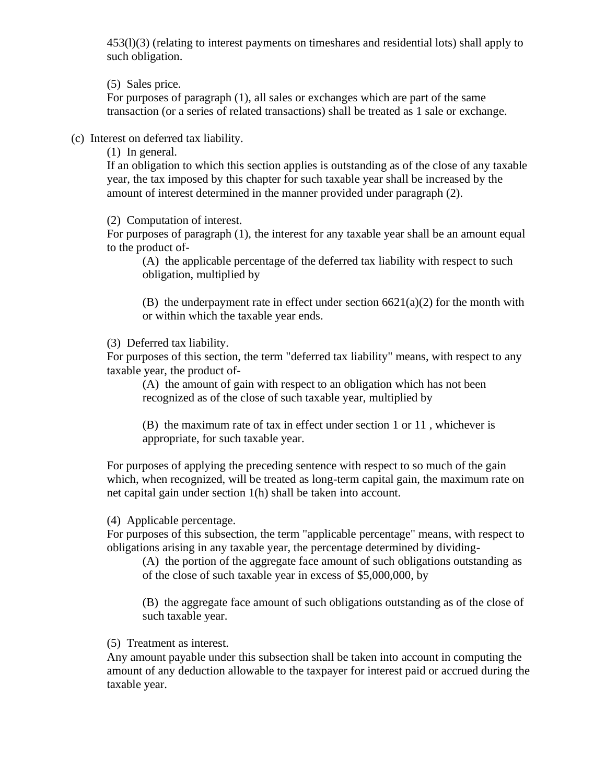453(l)(3) (relating to interest payments on timeshares and residential lots) shall apply to such obligation.

(5) Sales price.

For purposes of paragraph (1), all sales or exchanges which are part of the same transaction (or a series of related transactions) shall be treated as 1 sale or exchange.

(c) Interest on deferred tax liability.

(1) In general.

If an obligation to which this section applies is outstanding as of the close of any taxable year, the tax imposed by this chapter for such taxable year shall be increased by the amount of interest determined in the manner provided under paragraph (2).

(2) Computation of interest.

For purposes of paragraph (1), the interest for any taxable year shall be an amount equal to the product of-

(A) the applicable percentage of the deferred tax liability with respect to such obligation, multiplied by

(B) the underpayment rate in effect under section  $6621(a)(2)$  for the month with or within which the taxable year ends.

(3) Deferred tax liability.

For purposes of this section, the term "deferred tax liability" means, with respect to any taxable year, the product of-

(A) the amount of gain with respect to an obligation which has not been recognized as of the close of such taxable year, multiplied by

(B) the maximum rate of tax in effect under section 1 or 11 , whichever is appropriate, for such taxable year.

For purposes of applying the preceding sentence with respect to so much of the gain which, when recognized, will be treated as long-term capital gain, the maximum rate on net capital gain under section 1(h) shall be taken into account.

(4) Applicable percentage.

For purposes of this subsection, the term "applicable percentage" means, with respect to obligations arising in any taxable year, the percentage determined by dividing-

(A) the portion of the aggregate face amount of such obligations outstanding as of the close of such taxable year in excess of \$5,000,000, by

(B) the aggregate face amount of such obligations outstanding as of the close of such taxable year.

(5) Treatment as interest.

Any amount payable under this subsection shall be taken into account in computing the amount of any deduction allowable to the taxpayer for interest paid or accrued during the taxable year.